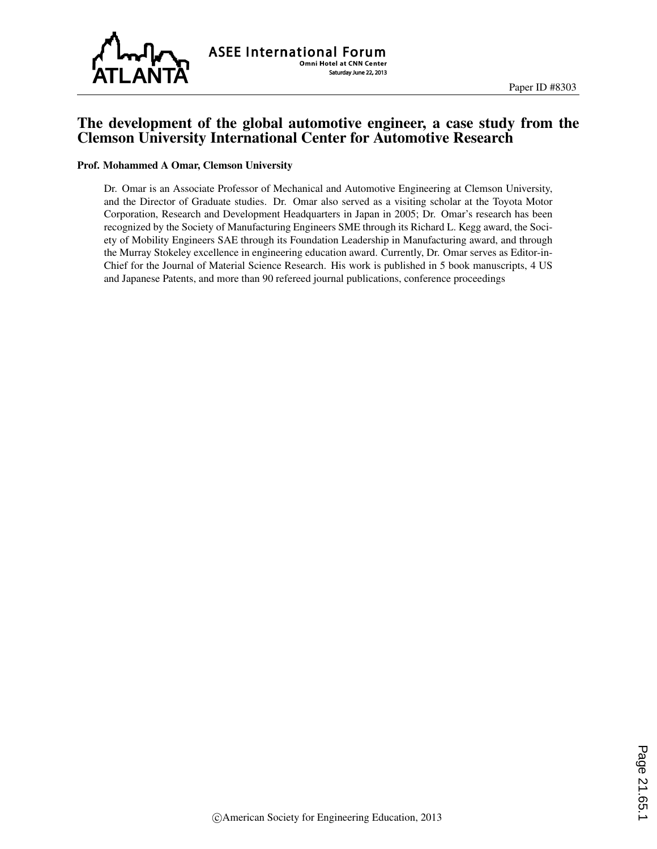

#### The development of the global automotive engineer, a case study from the Clemson University International Center for Automotive Research

#### Prof. Mohammed A Omar, Clemson University

Dr. Omar is an Associate Professor of Mechanical and Automotive Engineering at Clemson University, and the Director of Graduate studies. Dr. Omar also served as a visiting scholar at the Toyota Motor Corporation, Research and Development Headquarters in Japan in 2005; Dr. Omar's research has been recognized by the Society of Manufacturing Engineers SME through its Richard L. Kegg award, the Society of Mobility Engineers SAE through its Foundation Leadership in Manufacturing award, and through the Murray Stokeley excellence in engineering education award. Currently, Dr. Omar serves as Editor-in-Chief for the Journal of Material Science Research. His work is published in 5 book manuscripts, 4 US and Japanese Patents, and more than 90 refereed journal publications, conference proceedings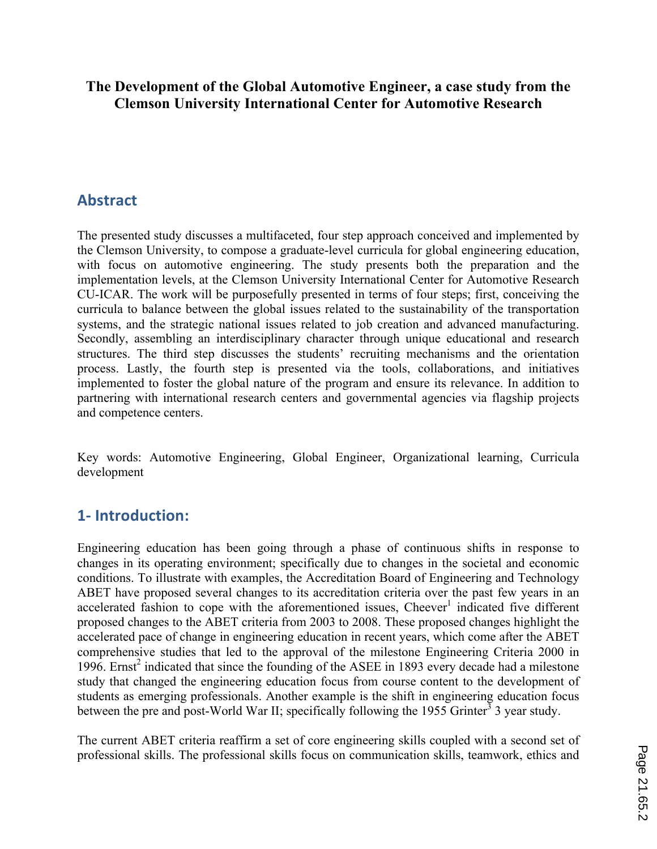#### **The Development of the Global Automotive Engineer, a case study from the Clemson University International Center for Automotive Research**

### **Abstract**

The presented study discusses a multifaceted, four step approach conceived and implemented by the Clemson University, to compose a graduate-level curricula for global engineering education, with focus on automotive engineering. The study presents both the preparation and the implementation levels, at the Clemson University International Center for Automotive Research CU-ICAR. The work will be purposefully presented in terms of four steps; first, conceiving the curricula to balance between the global issues related to the sustainability of the transportation systems, and the strategic national issues related to job creation and advanced manufacturing. Secondly, assembling an interdisciplinary character through unique educational and research structures. The third step discusses the students' recruiting mechanisms and the orientation process. Lastly, the fourth step is presented via the tools, collaborations, and initiatives implemented to foster the global nature of the program and ensure its relevance. In addition to partnering with international research centers and governmental agencies via flagship projects and competence centers.

Key words: Automotive Engineering, Global Engineer, Organizational learning, Curricula development

### **1- Introduction:**

Engineering education has been going through a phase of continuous shifts in response to changes in its operating environment; specifically due to changes in the societal and economic conditions. To illustrate with examples, the Accreditation Board of Engineering and Technology ABET have proposed several changes to its accreditation criteria over the past few years in an accelerated fashion to cope with the aforementioned issues, Cheever<sup>1</sup> indicated five different proposed changes to the ABET criteria from 2003 to 2008. These proposed changes highlight the accelerated pace of change in engineering education in recent years, which come after the ABET comprehensive studies that led to the approval of the milestone Engineering Criteria 2000 in 1996. Ernst<sup>2</sup> indicated that since the founding of the ASEE in 1893 every decade had a milestone study that changed the engineering education focus from course content to the development of students as emerging professionals. Another example is the shift in engineering education focus between the pre and post-World War II; specifically following the 1955 Grinter<sup>3</sup> 3 year study.

The current ABET criteria reaffirm a set of core engineering skills coupled with a second set of professional skills. The professional skills focus on communication skills, teamwork, ethics and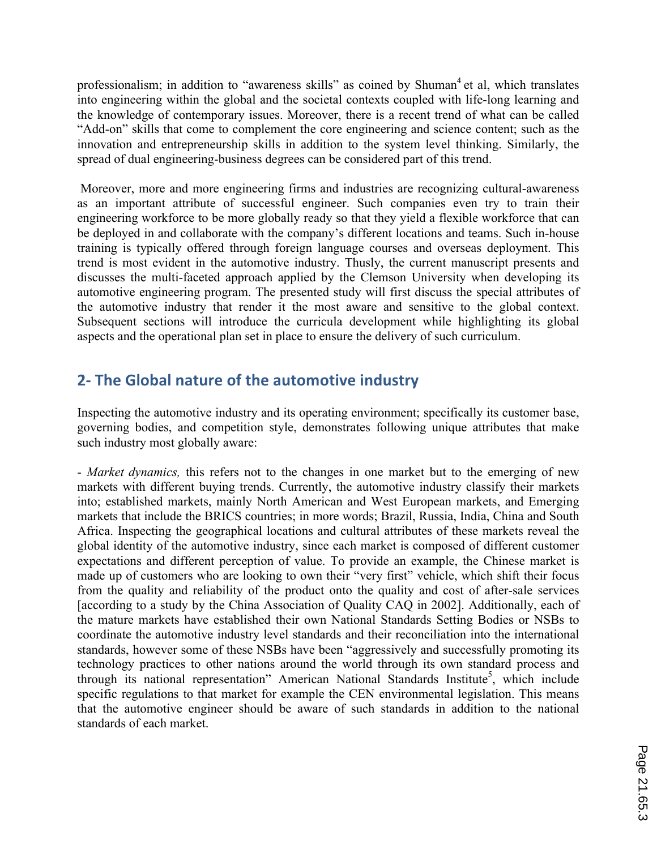professionalism; in addition to "awareness skills" as coined by Shuman<sup>4</sup> et al, which translates into engineering within the global and the societal contexts coupled with life-long learning and the knowledge of contemporary issues. Moreover, there is a recent trend of what can be called "Add-on" skills that come to complement the core engineering and science content; such as the innovation and entrepreneurship skills in addition to the system level thinking. Similarly, the spread of dual engineering-business degrees can be considered part of this trend.

Moreover, more and more engineering firms and industries are recognizing cultural-awareness as an important attribute of successful engineer. Such companies even try to train their engineering workforce to be more globally ready so that they yield a flexible workforce that can be deployed in and collaborate with the company's different locations and teams. Such in-house training is typically offered through foreign language courses and overseas deployment. This trend is most evident in the automotive industry. Thusly, the current manuscript presents and discusses the multi-faceted approach applied by the Clemson University when developing its automotive engineering program. The presented study will first discuss the special attributes of the automotive industry that render it the most aware and sensitive to the global context. Subsequent sections will introduce the curricula development while highlighting its global aspects and the operational plan set in place to ensure the delivery of such curriculum.

# **2- The Global nature of the automotive industry**

Inspecting the automotive industry and its operating environment; specifically its customer base, governing bodies, and competition style, demonstrates following unique attributes that make such industry most globally aware:

- *Market dynamics,* this refers not to the changes in one market but to the emerging of new markets with different buying trends. Currently, the automotive industry classify their markets into; established markets, mainly North American and West European markets, and Emerging markets that include the BRICS countries; in more words; Brazil, Russia, India, China and South Africa. Inspecting the geographical locations and cultural attributes of these markets reveal the global identity of the automotive industry, since each market is composed of different customer expectations and different perception of value. To provide an example, the Chinese market is made up of customers who are looking to own their "very first" vehicle, which shift their focus from the quality and reliability of the product onto the quality and cost of after-sale services [according to a study by the China Association of Quality CAQ in 2002]. Additionally, each of the mature markets have established their own National Standards Setting Bodies or NSBs to coordinate the automotive industry level standards and their reconciliation into the international standards, however some of these NSBs have been "aggressively and successfully promoting its technology practices to other nations around the world through its own standard process and through its national representation" American National Standards Institute<sup>5</sup>, which include specific regulations to that market for example the CEN environmental legislation. This means that the automotive engineer should be aware of such standards in addition to the national standards of each market.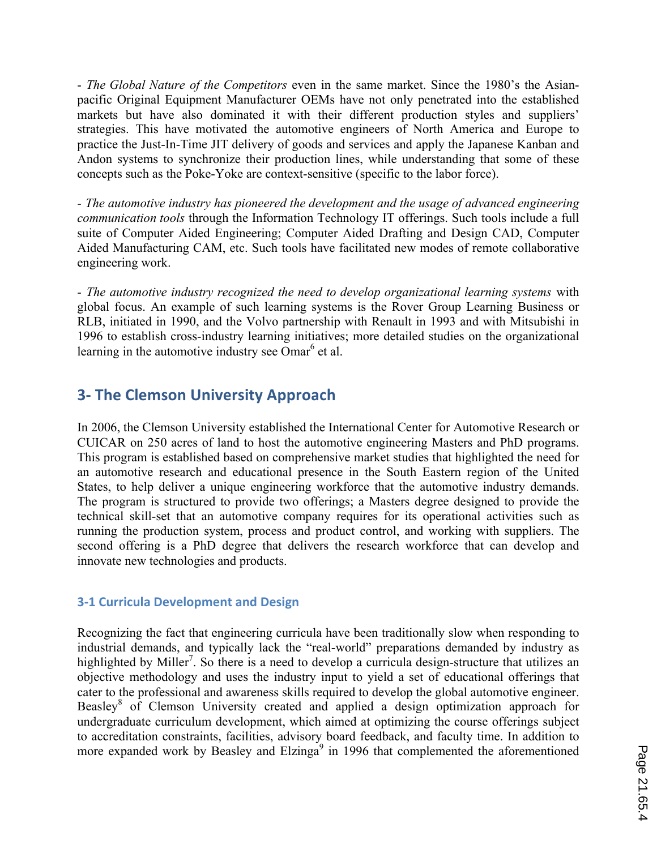- *The Global Nature of the Competitors* even in the same market. Since the 1980's the Asianpacific Original Equipment Manufacturer OEMs have not only penetrated into the established markets but have also dominated it with their different production styles and suppliers' strategies. This have motivated the automotive engineers of North America and Europe to practice the Just-In-Time JIT delivery of goods and services and apply the Japanese Kanban and Andon systems to synchronize their production lines, while understanding that some of these concepts such as the Poke-Yoke are context-sensitive (specific to the labor force).

- *The automotive industry has pioneered the development and the usage of advanced engineering communication tools* through the Information Technology IT offerings. Such tools include a full suite of Computer Aided Engineering; Computer Aided Drafting and Design CAD, Computer Aided Manufacturing CAM, etc. Such tools have facilitated new modes of remote collaborative engineering work.

- *The automotive industry recognized the need to develop organizational learning systems* with global focus. An example of such learning systems is the Rover Group Learning Business or RLB, initiated in 1990, and the Volvo partnership with Renault in 1993 and with Mitsubishi in 1996 to establish cross-industry learning initiatives; more detailed studies on the organizational learning in the automotive industry see  $\overline{O}$ mar<sup>6</sup> et al.

# **3- The Clemson University Approach**

In 2006, the Clemson University established the International Center for Automotive Research or CUICAR on 250 acres of land to host the automotive engineering Masters and PhD programs. This program is established based on comprehensive market studies that highlighted the need for an automotive research and educational presence in the South Eastern region of the United States, to help deliver a unique engineering workforce that the automotive industry demands. The program is structured to provide two offerings; a Masters degree designed to provide the technical skill-set that an automotive company requires for its operational activities such as running the production system, process and product control, and working with suppliers. The second offering is a PhD degree that delivers the research workforce that can develop and innovate new technologies and products.

#### **3-1 Curricula Development and Design**

Recognizing the fact that engineering curricula have been traditionally slow when responding to industrial demands, and typically lack the "real-world" preparations demanded by industry as highlighted by Miller<sup>7</sup>. So there is a need to develop a curricula design-structure that utilizes an objective methodology and uses the industry input to yield a set of educational offerings that cater to the professional and awareness skills required to develop the global automotive engineer. Beasley<sup>8</sup> of Clemson University created and applied a design optimization approach for undergraduate curriculum development, which aimed at optimizing the course offerings subject to accreditation constraints, facilities, advisory board feedback, and faculty time. In addition to more expanded work by Beasley and Elzinga $9$  in 1996 that complemented the aforementioned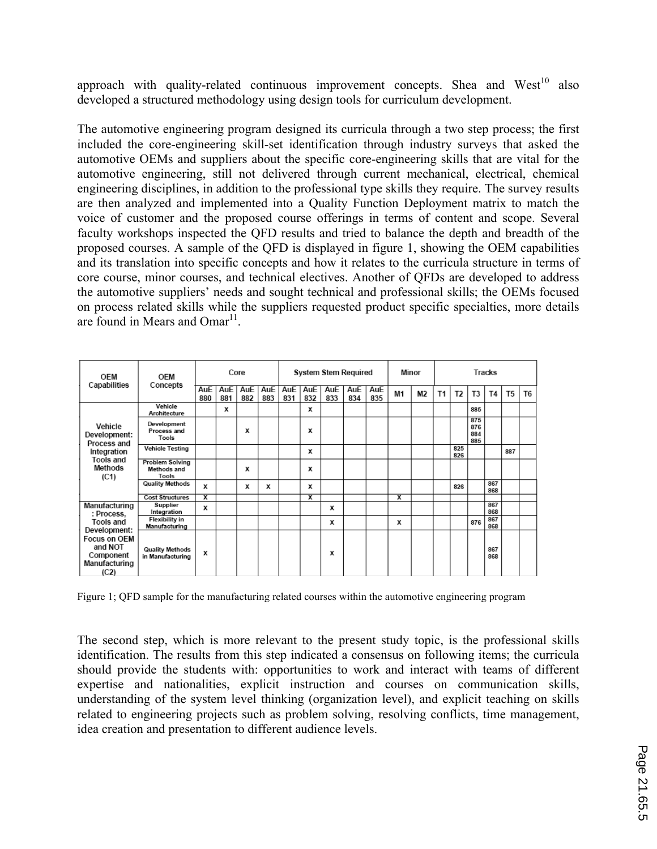approach with quality-related continuous improvement concepts. Shea and  $West^{10}$  also developed a structured methodology using design tools for curriculum development.

The automotive engineering program designed its curricula through a two step process; the first included the core-engineering skill-set identification through industry surveys that asked the automotive OEMs and suppliers about the specific core-engineering skills that are vital for the automotive engineering, still not delivered through current mechanical, electrical, chemical engineering disciplines, in addition to the professional type skills they require. The survey results are then analyzed and implemented into a Quality Function Deployment matrix to match the voice of customer and the proposed course offerings in terms of content and scope. Several faculty workshops inspected the QFD results and tried to balance the depth and breadth of the proposed courses. A sample of the QFD is displayed in figure 1, showing the OEM capabilities and its translation into specific concepts and how it relates to the curricula structure in terms of core course, minor courses, and technical electives. Another of QFDs are developed to address the automotive suppliers' needs and sought technical and professional skills; the OEMs focused on process related skills while the suppliers requested product specific specialties, more details are found in Mears and  $Omar<sup>11</sup>$ .

| OEM<br>Capabilities                                                                                                       | OEM<br>Concepts                                | Core       |            |                   |            | <b>System Stem Required</b> |                         |            |            |                   | Minor |                | Tracks |                |                          |            |                |                |
|---------------------------------------------------------------------------------------------------------------------------|------------------------------------------------|------------|------------|-------------------|------------|-----------------------------|-------------------------|------------|------------|-------------------|-------|----------------|--------|----------------|--------------------------|------------|----------------|----------------|
|                                                                                                                           |                                                | AuE<br>880 | AuE<br>881 | <b>AuE</b><br>882 | AuE<br>883 | AuE<br>831                  | AuE<br>832              | AuE<br>833 | AuE<br>834 | <b>AuE</b><br>835 | M1    | M <sub>2</sub> | T1     | T <sub>2</sub> | T <sub>3</sub>           | T4         | T <sub>5</sub> | T <sub>6</sub> |
| Vehicle<br>Development:<br>Process and<br>Integration<br><b>Tools and</b><br>Methods<br>(C1)                              | Vehicle<br>Architecture                        |            | x          |                   |            |                             | x                       |            |            |                   |       |                |        |                | 885                      |            |                |                |
|                                                                                                                           | Development<br>Process and<br>Tools            |            |            | x                 |            |                             | х                       |            |            |                   |       |                |        |                | 875<br>876<br>884<br>885 |            |                |                |
|                                                                                                                           | <b>Vehicle Testing</b>                         |            |            |                   |            |                             | x                       |            |            |                   |       |                |        | 825<br>826     |                          |            | 887            |                |
|                                                                                                                           | <b>Problem Solving</b><br>Methods and<br>Tools |            |            | x                 |            |                             | x                       |            |            |                   |       |                |        |                |                          |            |                |                |
|                                                                                                                           | <b>Quality Methods</b>                         | x          |            | х                 | х          |                             | х                       |            |            |                   |       |                |        | 826            |                          | 867<br>868 |                |                |
|                                                                                                                           | <b>Cost Structures</b>                         | x          |            |                   |            |                             | $\overline{\mathbf{x}}$ |            |            |                   | x     |                |        |                |                          |            |                |                |
| Manufacturing<br>: Process,<br>Tools and<br>Development:<br>Focus on OEM<br>and NOT<br>Component<br>Manufacturing<br>(C2) | Supplier<br>Integration                        | x          |            |                   |            |                             |                         | x          |            |                   |       |                |        |                |                          | 867<br>868 |                |                |
|                                                                                                                           | <b>Flexibility</b> in<br>Manufacturing         |            |            |                   |            |                             |                         | x          |            |                   | х     |                |        |                | 876                      | 867<br>868 |                |                |
|                                                                                                                           | <b>Quality Methods</b><br>in Manufacturing     | x          |            |                   |            |                             |                         | x          |            |                   |       |                |        |                |                          | 867<br>868 |                |                |

Figure 1; QFD sample for the manufacturing related courses within the automotive engineering program

The second step, which is more relevant to the present study topic, is the professional skills identification. The results from this step indicated a consensus on following items; the curricula should provide the students with: opportunities to work and interact with teams of different expertise and nationalities, explicit instruction and courses on communication skills, understanding of the system level thinking (organization level), and explicit teaching on skills related to engineering projects such as problem solving, resolving conflicts, time management, idea creation and presentation to different audience levels.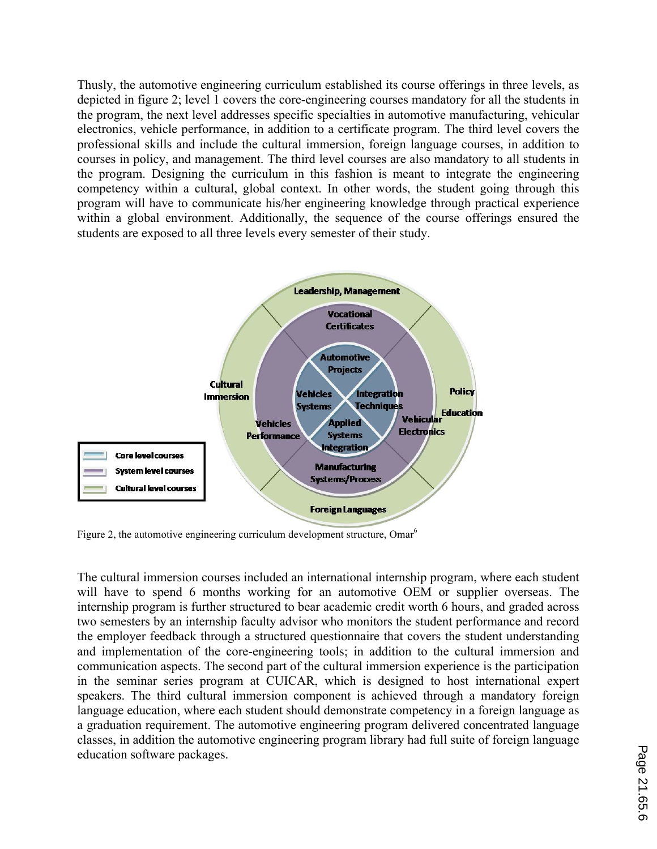Thusly, the automotive engineering curriculum established its course offerings in three levels, as depicted in figure 2; level 1 covers the core-engineering courses mandatory for all the students in the program, the next level addresses specific specialties in automotive manufacturing, vehicular electronics, vehicle performance, in addition to a certificate program. The third level covers the professional skills and include the cultural immersion, foreign language courses, in addition to courses in policy, and management. The third level courses are also mandatory to all students in the program. Designing the curriculum in this fashion is meant to integrate the engineering competency within a cultural, global context. In other words, the student going through this program will have to communicate his/her engineering knowledge through practical experience within a global environment. Additionally, the sequence of the course offerings ensured the students are exposed to all three levels every semester of their study.



Figure 2, the automotive engineering curriculum development structure, Omar<sup>6</sup>

The cultural immersion courses included an international internship program, where each student will have to spend 6 months working for an automotive OEM or supplier overseas. The internship program is further structured to bear academic credit worth 6 hours, and graded across two semesters by an internship faculty advisor who monitors the student performance and record the employer feedback through a structured questionnaire that covers the student understanding and implementation of the core-engineering tools; in addition to the cultural immersion and communication aspects. The second part of the cultural immersion experience is the participation in the seminar series program at CUICAR, which is designed to host international expert speakers. The third cultural immersion component is achieved through a mandatory foreign language education, where each student should demonstrate competency in a foreign language as a graduation requirement. The automotive engineering program delivered concentrated language classes, in addition the automotive engineering program library had full suite of foreign language education software packages.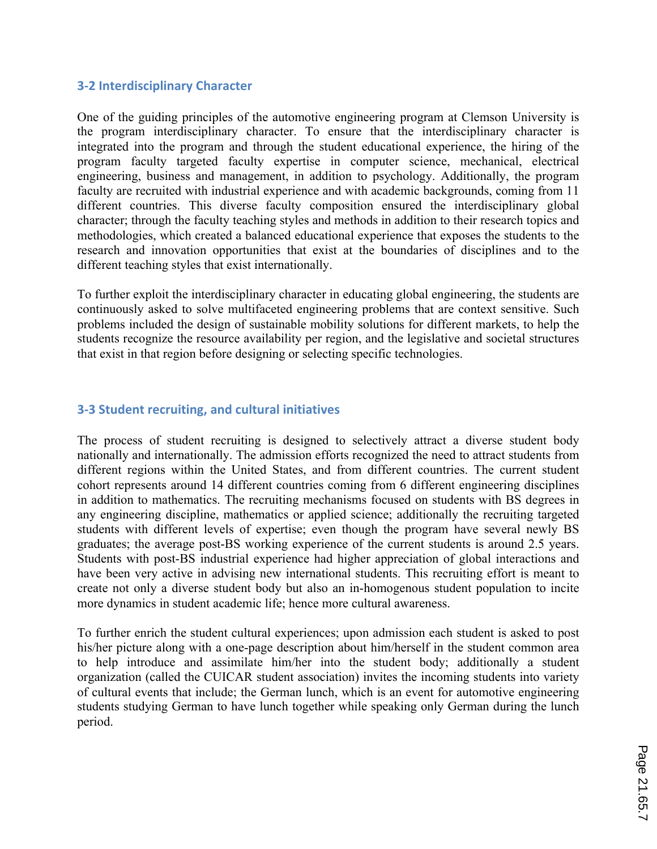#### **3-2 Interdisciplinary Character**

One of the guiding principles of the automotive engineering program at Clemson University is the program interdisciplinary character. To ensure that the interdisciplinary character is integrated into the program and through the student educational experience, the hiring of the program faculty targeted faculty expertise in computer science, mechanical, electrical engineering, business and management, in addition to psychology. Additionally, the program faculty are recruited with industrial experience and with academic backgrounds, coming from 11 different countries. This diverse faculty composition ensured the interdisciplinary global character; through the faculty teaching styles and methods in addition to their research topics and methodologies, which created a balanced educational experience that exposes the students to the research and innovation opportunities that exist at the boundaries of disciplines and to the different teaching styles that exist internationally.

To further exploit the interdisciplinary character in educating global engineering, the students are continuously asked to solve multifaceted engineering problems that are context sensitive. Such problems included the design of sustainable mobility solutions for different markets, to help the students recognize the resource availability per region, and the legislative and societal structures that exist in that region before designing or selecting specific technologies.

#### **3-3 Student recruiting, and cultural initiatives**

The process of student recruiting is designed to selectively attract a diverse student body nationally and internationally. The admission efforts recognized the need to attract students from different regions within the United States, and from different countries. The current student cohort represents around 14 different countries coming from 6 different engineering disciplines in addition to mathematics. The recruiting mechanisms focused on students with BS degrees in any engineering discipline, mathematics or applied science; additionally the recruiting targeted students with different levels of expertise; even though the program have several newly BS graduates; the average post-BS working experience of the current students is around 2.5 years. Students with post-BS industrial experience had higher appreciation of global interactions and have been very active in advising new international students. This recruiting effort is meant to create not only a diverse student body but also an in-homogenous student population to incite more dynamics in student academic life; hence more cultural awareness.

To further enrich the student cultural experiences; upon admission each student is asked to post his/her picture along with a one-page description about him/herself in the student common area to help introduce and assimilate him/her into the student body; additionally a student organization (called the CUICAR student association) invites the incoming students into variety of cultural events that include; the German lunch, which is an event for automotive engineering students studying German to have lunch together while speaking only German during the lunch period.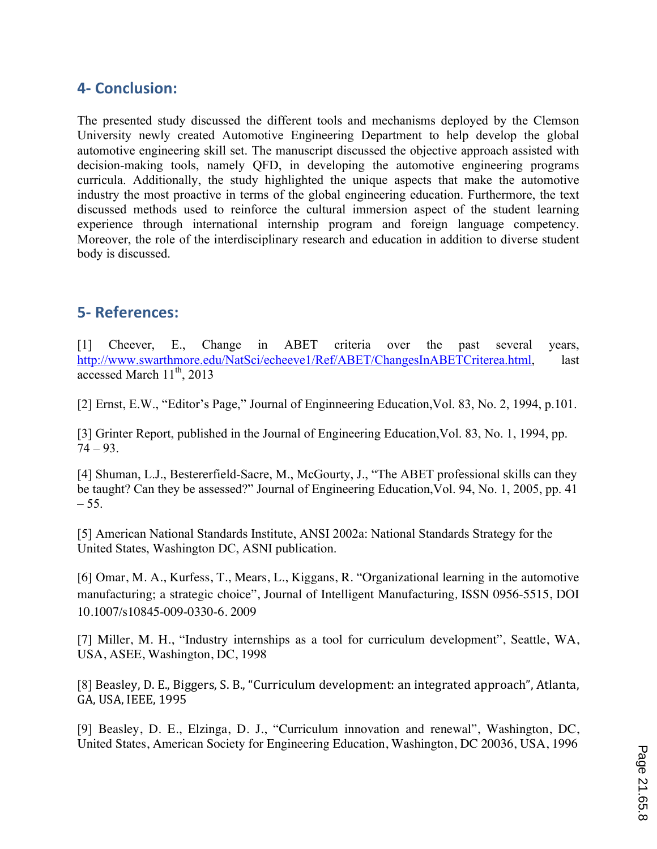# **4- Conclusion:**

The presented study discussed the different tools and mechanisms deployed by the Clemson University newly created Automotive Engineering Department to help develop the global automotive engineering skill set. The manuscript discussed the objective approach assisted with decision-making tools, namely QFD, in developing the automotive engineering programs curricula. Additionally, the study highlighted the unique aspects that make the automotive industry the most proactive in terms of the global engineering education. Furthermore, the text discussed methods used to reinforce the cultural immersion aspect of the student learning experience through international internship program and foreign language competency. Moreover, the role of the interdisciplinary research and education in addition to diverse student body is discussed.

### **5- References:**

[1] Cheever, E., Change in ABET criteria over the past several years, http://www.swarthmore.edu/NatSci/echeeve1/Ref/ABET/ChangesInABETCriterea.html, last accessed March  $11^{th}$ , 2013

[2] Ernst, E.W., "Editor's Page," Journal of Enginneering Education,Vol. 83, No. 2, 1994, p.101.

[3] Grinter Report, published in the Journal of Engineering Education,Vol. 83, No. 1, 1994, pp.  $74 - 93.$ 

[4] Shuman, L.J., Bestererfield-Sacre, M., McGourty, J., "The ABET professional skills can they be taught? Can they be assessed?" Journal of Engineering Education,Vol. 94, No. 1, 2005, pp. 41  $-55.$ 

[5] American National Standards Institute, ANSI 2002a: National Standards Strategy for the United States, Washington DC, ASNI publication.

[6] Omar, M. A., Kurfess, T., Mears, L., Kiggans, R. "Organizational learning in the automotive manufacturing; a strategic choice", Journal of Intelligent Manufacturing*,* ISSN 0956-5515, DOI 10.1007/s10845-009-0330-6. 2009

[7] Miller, M. H., "Industry internships as a tool for curriculum development", Seattle, WA, USA, ASEE, Washington, DC, 1998

[8] Beasley, D. E., Biggers, S. B., "Curriculum development: an integrated approach", Atlanta, GA, USA, IEEE, 1995

[9] Beasley, D. E., Elzinga, D. J., "Curriculum innovation and renewal", Washington, DC, United States, American Society for Engineering Education, Washington, DC 20036, USA, 1996